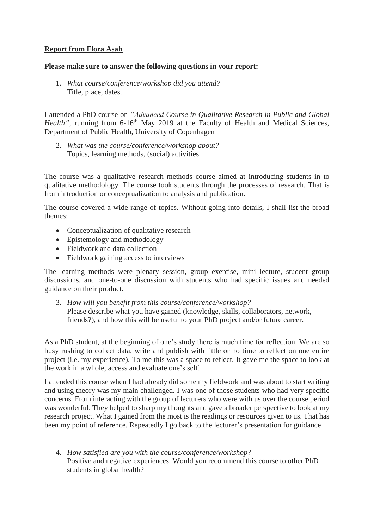## **Report from Flora Asah**

## **Please make sure to answer the following questions in your report:**

1. *What course/conference/workshop did you attend?* Title, place, dates.

I attended a PhD course on *"Advanced Course in Qualitative Research in Public and Global Health*", running from 6-16<sup>th</sup> May 2019 at the Faculty of Health and Medical Sciences, Department of Public Health, University of Copenhagen

2. *What was the course/conference/workshop about?* Topics, learning methods, (social) activities.

The course was a qualitative research methods course aimed at introducing students in to qualitative methodology. The course took students through the processes of research. That is from introduction or conceptualization to analysis and publication.

The course covered a wide range of topics. Without going into details, I shall list the broad themes:

- Conceptualization of qualitative research
- Epistemology and methodology
- Fieldwork and data collection
- Fieldwork gaining access to interviews

The learning methods were plenary session, group exercise, mini lecture, student group discussions, and one-to-one discussion with students who had specific issues and needed guidance on their product.

3. *How will you benefit from this course/conference/workshop?* Please describe what you have gained (knowledge, skills, collaborators, network, friends?), and how this will be useful to your PhD project and/or future career.

As a PhD student, at the beginning of one's study there is much time for reflection. We are so busy rushing to collect data, write and publish with little or no time to reflect on one entire project (i.e. my experience). To me this was a space to reflect. It gave me the space to look at the work in a whole, access and evaluate one's self.

I attended this course when I had already did some my fieldwork and was about to start writing and using theory was my main challenged. I was one of those students who had very specific concerns. From interacting with the group of lecturers who were with us over the course period was wonderful. They helped to sharp my thoughts and gave a broader perspective to look at my research project. What I gained from the most is the readings or resources given to us. That has been my point of reference. Repeatedly I go back to the lecturer's presentation for guidance

4. *How satisfied are you with the course/conference/workshop?* Positive and negative experiences. Would you recommend this course to other PhD students in global health?